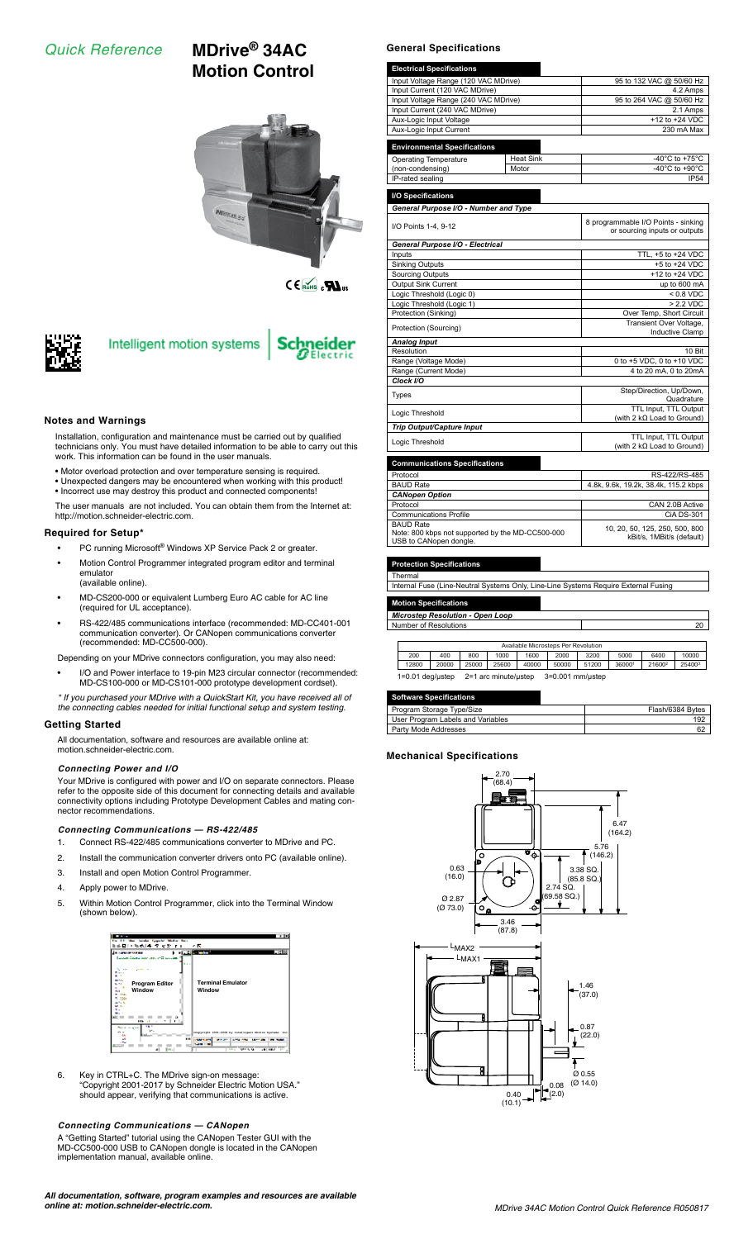# *Quick Reference* **MDrive® 34AC**

**Motion Control**



 $C \in \widehat{\text{Roh}}_0$ <sub>us</sub>



# Intelligent motion systems

#### **Notes and Warnings**

Installation, configuration and maintenance must be carried out by qualified technicians only. You must have detailed information to be able to carry out this work. This information can be found in the user manuals.

- Motor overload protection and over temperature sensing is required.
- Unexpected dangers may be encountered when working with this product! • Incorrect use may destroy this product and connected components!

The user manuals are not included. You can obtain them from the Internet at: http://motion.schneider-electric.com.

#### **Required for Setup\***

- PC running Microsoft® Windows XP Service Pack 2 or greater.
- Motion Control Programmer integrated program editor and terminal emulator (available online).
- MD-CS200-000 or equivalent Lumberg Euro AC cable for AC line (required for UL acceptance).
- RS-422/485 communications interface (recommended: MD-CC401-001 communication converter). Or CANopen communications converter (recommended: MD-CC500-000).

Depending on your MDrive connectors configuration, you may also need:

• I/O and Power interface to 19-pin M23 circular connector (recommended: MD-CS100-000 or MD-CS101-000 prototype development cordset).

*\* If you purchased your MDrive with a QuickStart Kit, you have received all of the connecting cables needed for initial functional setup and system testing.*

#### **Getting Started**

All documentation, software and resources are available online at: motion.schneider-electric.com.

#### *Connecting Power and I/O*

Your MDrive is configured with power and I/O on separate connectors. Please refer to the opposite side of this document for connecting details and available connectivity options including Prototype Development Cables and mating connector recommendations.

#### *Connecting Communications — RS-422/485*

- 1. Connect RS-422/485 communications converter to MDrive and PC.
- 2. Install the communication converter drivers onto PC (available online).
- 3. Install and open Motion Control Programmer.
- 4. Apply power to MDrive.
- 5. Within Motion Control Programmer, click into the Terminal Window (shown below).



6. Key in CTRL+C. The MDrive sign-on message: "Copyright 2001-2017 by Schneider Electric Motion USA." should appear, verifying that communications is active.

#### *Connecting Communications — CANopen*

A "Getting Started" tutorial using the CANopen Tester GUI with the MD-CC500-000 USB to CANopen dongle is located in the CANopen implementation manual, available online.

*All documentation, software, program examples and resources are available online at: motion.schneider-electric.com.*

#### **General Specifications**

| <b>Electrical Specifications</b>     |                          |                                      |  |
|--------------------------------------|--------------------------|--------------------------------------|--|
| Input Voltage Range (120 VAC MDrive) |                          | 95 to 132 VAC @ 50/60 Hz             |  |
| Input Current (120 VAC MDrive)       | 4.2 Amps                 |                                      |  |
| Input Voltage Range (240 VAC MDrive) | 95 to 264 VAC @ 50/60 Hz |                                      |  |
| Input Current (240 VAC MDrive)       | 2.1 Amps                 |                                      |  |
| Aux-Logic Input Voltage              | +12 to +24 VDC           |                                      |  |
| Aux-Logic Input Current              | 230 mA Max               |                                      |  |
| <b>Environmental Specifications</b>  |                          |                                      |  |
| Operating Temperature                | <b>Heat Sink</b>         | -40 $^{\circ}$ C to +75 $^{\circ}$ C |  |
| (non-condensing)                     | Motor                    | -40 $^{\circ}$ C to +90 $^{\circ}$ C |  |
| IP-rated sealing                     |                          | <b>IP54</b>                          |  |
|                                      |                          |                                      |  |

**I/O Specifications** *General Purpose I/O - Number and Type* I/O Points 1-4, 9-12 8 around B 8 programmable I/O Points - sinking 8 programmable I/O Points - sinking 8 and B 9 and B 9 and B 9 and B 9 and B 9 and B 9 and B 9 and B 9 and B 9 and B 9 and B 9 and B 9 and B 9 and B 9 and *General Purpose I/O - Electrical* TTL,  $+5$  to  $+24$  VDC<br> $+5$  to  $+24$  VDC Sinking Outputs<br>
Sinking Outputs<br>  $+5$  to  $+24$  VDC<br>
Sourcing Outputs<br>  $+12$  to  $+24$  VDC<br>
Output Sink Current<br>
up to 600 mA Sourcing Outputs +12 to +24 VDC Output Sink Current up to 600 mA Logic Threshold (Logic 0)  $< 0.8$  VDC Logic Threshold (Logic 1)  $\rightarrow$  2.2 VDC Protection (Sinking) Over Temp, Short Circuit Protection (Sourcing) Transient Over Voltage, Transient Over Voltage, Inductive Clamp **Analog Input**<br>Resolution 10 Bit **Analog Input in the Community of the Community of the Community of the Community of the Community** Range (Voltage Mode) 0 to +5 VDC, 0 to +10 VDC Range (Current Mode) 4 to 20 mA, 0 to 20 mA *Clock I/O* Types Step/Direction, Up/Down<br>
Cuadrature Quadrature<br>
Logic Threshold TTL Input, TTL Input, TTL Input, TTL Input, TTL Input, TTL Input, TTL Input, TTL Input, TTL Input, th 2 kΩ Load to Ground) *Trip Output/Capture Input* Logic Threshold TTL Input, TTL Output (with 2 kΩ Load to Ground) **S** Specifications

| Protocol                                                                                       | RS-422/RS-485                                               |
|------------------------------------------------------------------------------------------------|-------------------------------------------------------------|
| <b>BAUD Rate</b>                                                                               | 4.8k, 9.6k, 19.2k, 38.4k, 115.2 kbps                        |
| <b>CANopen Option</b>                                                                          |                                                             |
| Protocol                                                                                       | CAN 2.0B Active                                             |
| <b>Communications Profile</b>                                                                  | CIA DS-301                                                  |
| <b>BAUD Rate</b><br>Note: 800 kbps not supported by the MD-CC500-000<br>USB to CANopen dongle. | 10, 20, 50, 125, 250, 500, 800<br>kBit/s, 1MBit/s (default) |

#### *<u>Ction</u>* Specification

Thermal Internal Fuse (Line-Neutral Systems Only, Line-Line Systems Require External Fusing

| <b>Motion Specifications</b>            |  |
|-----------------------------------------|--|
| <b>Microstep Resolution - Open Loop</b> |  |
| Number of Resolutions                   |  |

| Available Microsteps Per Revolution                            |       |       |       |       |       |       |        |                    |        |
|----------------------------------------------------------------|-------|-------|-------|-------|-------|-------|--------|--------------------|--------|
| 200                                                            | 400   | 800   | 1000  | 1600  | 2000  | 3200  | 5000   | 6400               | 10000  |
| 12800                                                          | 20000 | 25000 | 25600 | 40000 | 50000 | 51200 | 360001 | 21600 <sup>2</sup> | 254003 |
| 3=0.001 mm/ustep<br>2=1 arc minute/ustep<br>$1=0.01$ deg/ustep |       |       |       |       |       |       |        |                    |        |

| <b>Software Specifications</b>    |                  |
|-----------------------------------|------------------|
| Program Storage Type/Size         | Flash/6384 Bytes |
| User Program Labels and Variables | 192              |
| Party Mode Addresses              | 62               |

#### **Mechanical Specifications**